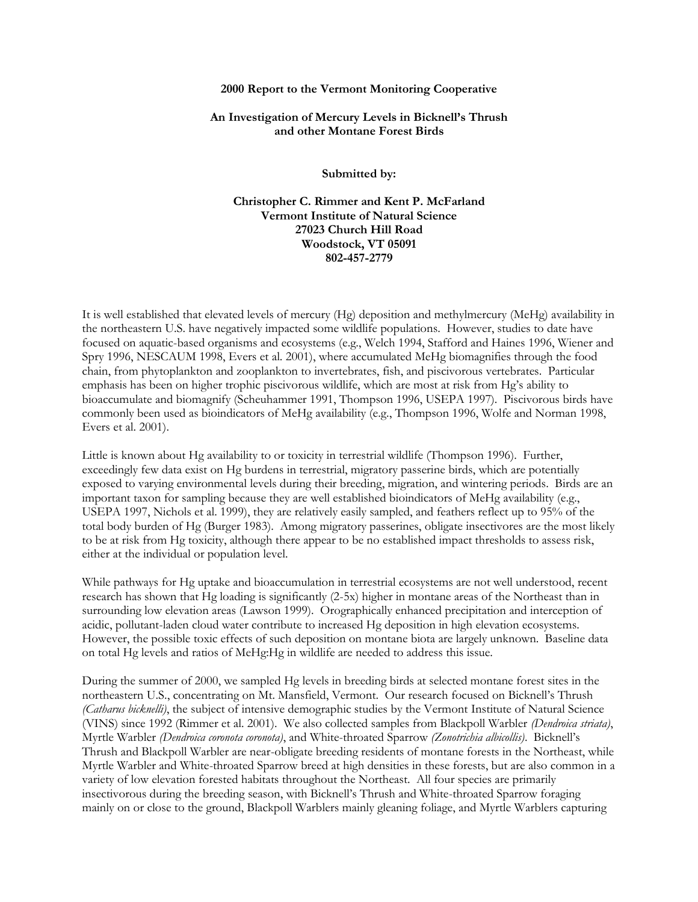#### **2000 Report to the Vermont Monitoring Cooperative**

## **An Investigation of Mercury Levels in Bicknell's Thrush and other Montane Forest Birds**

**Submitted by:**

**Christopher C. Rimmer and Kent P. McFarland Vermont Institute of Natural Science 27023 Church Hill Road Woodstock, VT 05091 802-457-2779**

It is well established that elevated levels of mercury (Hg) deposition and methylmercury (MeHg) availability in the northeastern U.S. have negatively impacted some wildlife populations. However, studies to date have focused on aquatic-based organisms and ecosystems (e.g., Welch 1994, Stafford and Haines 1996, Wiener and Spry 1996, NESCAUM 1998, Evers et al. 2001), where accumulated MeHg biomagnifies through the food chain, from phytoplankton and zooplankton to invertebrates, fish, and piscivorous vertebrates. Particular emphasis has been on higher trophic piscivorous wildlife, which are most at risk from Hg's ability to bioaccumulate and biomagnify (Scheuhammer 1991, Thompson 1996, USEPA 1997). Piscivorous birds have commonly been used as bioindicators of MeHg availability (e.g., Thompson 1996, Wolfe and Norman 1998, Evers et al. 2001).

Little is known about Hg availability to or toxicity in terrestrial wildlife (Thompson 1996). Further, exceedingly few data exist on Hg burdens in terrestrial, migratory passerine birds, which are potentially exposed to varying environmental levels during their breeding, migration, and wintering periods. Birds are an important taxon for sampling because they are well established bioindicators of MeHg availability (e.g., USEPA 1997, Nichols et al. 1999), they are relatively easily sampled, and feathers reflect up to 95% of the total body burden of Hg (Burger 1983). Among migratory passerines, obligate insectivores are the most likely to be at risk from Hg toxicity, although there appear to be no established impact thresholds to assess risk, either at the individual or population level.

While pathways for Hg uptake and bioaccumulation in terrestrial ecosystems are not well understood, recent research has shown that Hg loading is significantly (2-5x) higher in montane areas of the Northeast than in surrounding low elevation areas (Lawson 1999). Orographically enhanced precipitation and interception of acidic, pollutant-laden cloud water contribute to increased Hg deposition in high elevation ecosystems. However, the possible toxic effects of such deposition on montane biota are largely unknown. Baseline data on total Hg levels and ratios of MeHg:Hg in wildlife are needed to address this issue.

During the summer of 2000, we sampled Hg levels in breeding birds at selected montane forest sites in the northeastern U.S., concentrating on Mt. Mansfield, Vermont. Our research focused on Bicknell's Thrush *(Catharus bicknelli)*, the subject of intensive demographic studies by the Vermont Institute of Natural Science (VINS) since 1992 (Rimmer et al. 2001). We also collected samples from Blackpoll Warbler *(Dendroica striata)*, Myrtle Warbler *(Dendroica coronota coronota)*, and White-throated Sparrow *(Zonotrichia albicollis)*. Bicknell's Thrush and Blackpoll Warbler are near-obligate breeding residents of montane forests in the Northeast, while Myrtle Warbler and White-throated Sparrow breed at high densities in these forests, but are also common in a variety of low elevation forested habitats throughout the Northeast. All four species are primarily insectivorous during the breeding season, with Bicknell's Thrush and White-throated Sparrow foraging mainly on or close to the ground, Blackpoll Warblers mainly gleaning foliage, and Myrtle Warblers capturing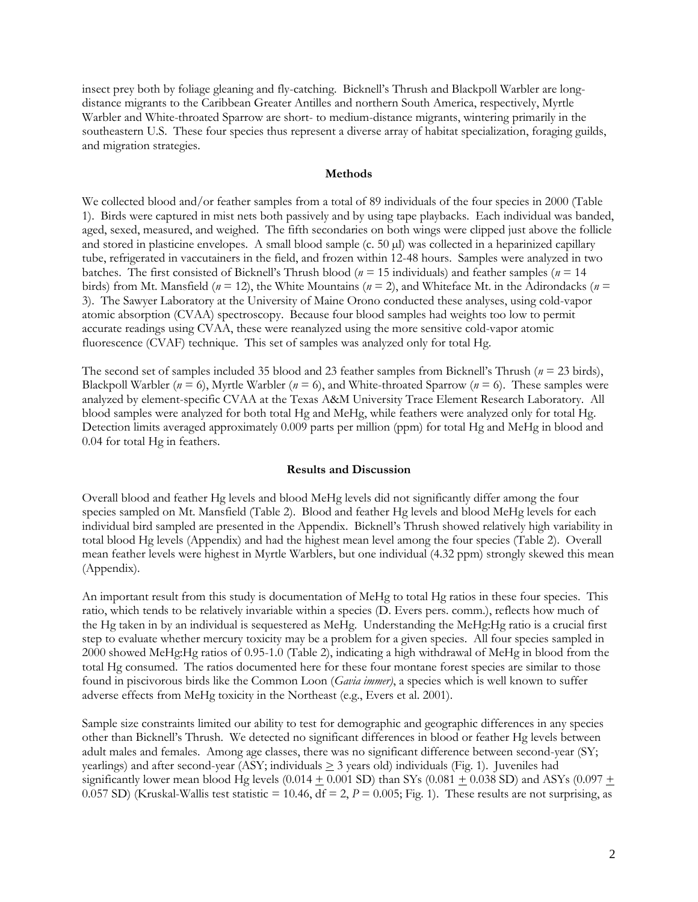insect prey both by foliage gleaning and fly-catching. Bicknell's Thrush and Blackpoll Warbler are longdistance migrants to the Caribbean Greater Antilles and northern South America, respectively, Myrtle Warbler and White-throated Sparrow are short- to medium-distance migrants, wintering primarily in the southeastern U.S. These four species thus represent a diverse array of habitat specialization, foraging guilds, and migration strategies.

#### **Methods**

We collected blood and/or feather samples from a total of 89 individuals of the four species in 2000 (Table 1). Birds were captured in mist nets both passively and by using tape playbacks. Each individual was banded, aged, sexed, measured, and weighed. The fifth secondaries on both wings were clipped just above the follicle and stored in plasticine envelopes. A small blood sample (c. 50 µl) was collected in a heparinized capillary tube, refrigerated in vaccutainers in the field, and frozen within 12-48 hours. Samples were analyzed in two batches. The first consisted of Bicknell's Thrush blood (*n* = 15 individuals) and feather samples (*n* = 14 birds) from Mt. Mansfield (*n* = 12), the White Mountains (*n* = 2), and Whiteface Mt. in the Adirondacks (*n* = 3). The Sawyer Laboratory at the University of Maine Orono conducted these analyses, using cold-vapor atomic absorption (CVAA) spectroscopy. Because four blood samples had weights too low to permit accurate readings using CVAA, these were reanalyzed using the more sensitive cold-vapor atomic fluorescence (CVAF) technique. This set of samples was analyzed only for total Hg.

The second set of samples included 35 blood and 23 feather samples from Bicknell's Thrush (*n* = 23 birds), Blackpoll Warbler ( $n = 6$ ), Myrtle Warbler ( $n = 6$ ), and White-throated Sparrow ( $n = 6$ ). These samples were analyzed by element-specific CVAA at the Texas A&M University Trace Element Research Laboratory. All blood samples were analyzed for both total Hg and MeHg, while feathers were analyzed only for total Hg. Detection limits averaged approximately 0.009 parts per million (ppm) for total Hg and MeHg in blood and 0.04 for total Hg in feathers.

# **Results and Discussion**

Overall blood and feather Hg levels and blood MeHg levels did not significantly differ among the four species sampled on Mt. Mansfield (Table 2). Blood and feather Hg levels and blood MeHg levels for each individual bird sampled are presented in the Appendix. Bicknell's Thrush showed relatively high variability in total blood Hg levels (Appendix) and had the highest mean level among the four species (Table 2). Overall mean feather levels were highest in Myrtle Warblers, but one individual (4.32 ppm) strongly skewed this mean (Appendix).

An important result from this study is documentation of MeHg to total Hg ratios in these four species. This ratio, which tends to be relatively invariable within a species (D. Evers pers. comm.), reflects how much of the Hg taken in by an individual is sequestered as MeHg. Understanding the MeHg:Hg ratio is a crucial first step to evaluate whether mercury toxicity may be a problem for a given species. All four species sampled in 2000 showed MeHg:Hg ratios of 0.95-1.0 (Table 2), indicating a high withdrawal of MeHg in blood from the total Hg consumed. The ratios documented here for these four montane forest species are similar to those found in piscivorous birds like the Common Loon (*Gavia immer)*, a species which is well known to suffer adverse effects from MeHg toxicity in the Northeast (e.g., Evers et al. 2001).

Sample size constraints limited our ability to test for demographic and geographic differences in any species other than Bicknell's Thrush. We detected no significant differences in blood or feather Hg levels between adult males and females. Among age classes, there was no significant difference between second-year (SY; yearlings) and after second-year (ASY; individuals > 3 years old) individuals (Fig. 1). Juveniles had significantly lower mean blood Hg levels (0.014  $\pm$  0.001 SD) than SYs (0.081  $\pm$  0.038 SD) and ASYs (0.097  $\pm$ 0.057 SD) (Kruskal-Wallis test statistic = 10.46,  $df = 2$ ,  $P = 0.005$ ; Fig. 1). These results are not surprising, as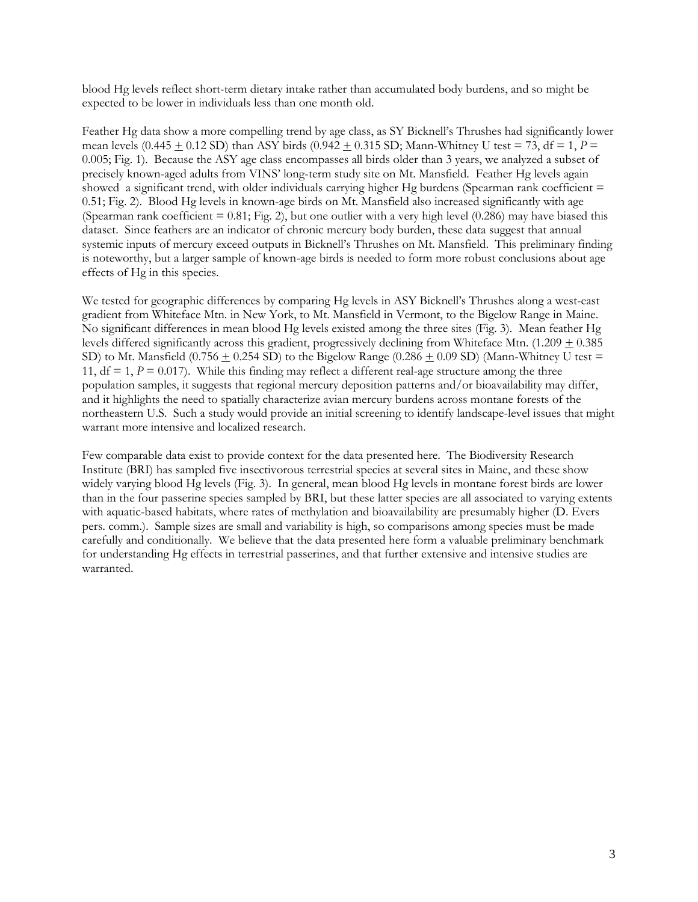blood Hg levels reflect short-term dietary intake rather than accumulated body burdens, and so might be expected to be lower in individuals less than one month old.

Feather Hg data show a more compelling trend by age class, as SY Bicknell's Thrushes had significantly lower mean levels  $(0.445 + 0.12$  SD) than ASY birds  $(0.942 + 0.315$  SD; Mann-Whitney U test = 73, df = 1,  $P =$ 0.005; Fig. 1). Because the ASY age class encompasses all birds older than 3 years, we analyzed a subset of precisely known-aged adults from VINS' long-term study site on Mt. Mansfield. Feather Hg levels again showed a significant trend, with older individuals carrying higher Hg burdens (Spearman rank coefficient = 0.51; Fig. 2). Blood Hg levels in known-age birds on Mt. Mansfield also increased significantly with age (Spearman rank coefficient  $= 0.81$ ; Fig. 2), but one outlier with a very high level (0.286) may have biased this dataset. Since feathers are an indicator of chronic mercury body burden, these data suggest that annual systemic inputs of mercury exceed outputs in Bicknell's Thrushes on Mt. Mansfield. This preliminary finding is noteworthy, but a larger sample of known-age birds is needed to form more robust conclusions about age effects of Hg in this species.

We tested for geographic differences by comparing Hg levels in ASY Bicknell's Thrushes along a west-east gradient from Whiteface Mtn. in New York, to Mt. Mansfield in Vermont, to the Bigelow Range in Maine. No significant differences in mean blood Hg levels existed among the three sites (Fig. 3). Mean feather Hg levels differed significantly across this gradient, progressively declining from Whiteface Mtn.  $(1.209 \pm 0.385$ SD) to Mt. Mansfield (0.756  $\pm$  0.254 SD) to the Bigelow Range (0.286  $\pm$  0.09 SD) (Mann-Whitney U test = 11,  $df = 1$ ,  $P = 0.017$ ). While this finding may reflect a different real-age structure among the three population samples, it suggests that regional mercury deposition patterns and/or bioavailability may differ, and it highlights the need to spatially characterize avian mercury burdens across montane forests of the northeastern U.S. Such a study would provide an initial screening to identify landscape-level issues that might warrant more intensive and localized research.

Few comparable data exist to provide context for the data presented here. The Biodiversity Research Institute (BRI) has sampled five insectivorous terrestrial species at several sites in Maine, and these show widely varying blood Hg levels (Fig. 3). In general, mean blood Hg levels in montane forest birds are lower than in the four passerine species sampled by BRI, but these latter species are all associated to varying extents with aquatic-based habitats, where rates of methylation and bioavailability are presumably higher (D. Evers pers. comm.). Sample sizes are small and variability is high, so comparisons among species must be made carefully and conditionally. We believe that the data presented here form a valuable preliminary benchmark for understanding Hg effects in terrestrial passerines, and that further extensive and intensive studies are warranted.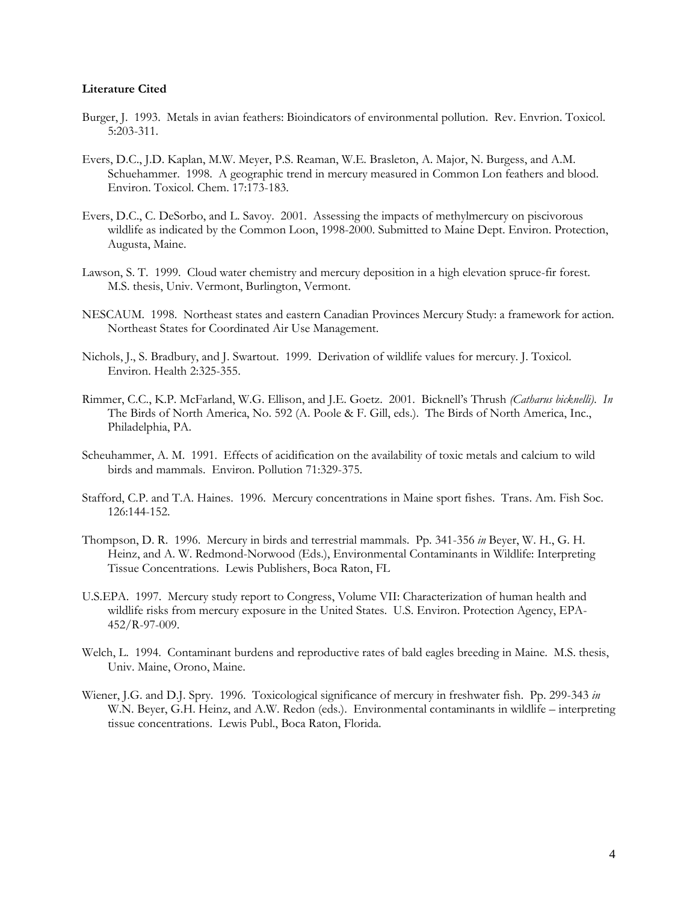## **Literature Cited**

- Burger, J. 1993. Metals in avian feathers: Bioindicators of environmental pollution. Rev. Envrion. Toxicol. 5:203-311.
- Evers, D.C., J.D. Kaplan, M.W. Meyer, P.S. Reaman, W.E. Brasleton, A. Major, N. Burgess, and A.M. Schuehammer. 1998. A geographic trend in mercury measured in Common Lon feathers and blood. Environ. Toxicol. Chem. 17:173-183.
- Evers, D.C., C. DeSorbo, and L. Savoy. 2001. Assessing the impacts of methylmercury on piscivorous wildlife as indicated by the Common Loon, 1998-2000. Submitted to Maine Dept. Environ. Protection, Augusta, Maine.
- Lawson, S. T. 1999. Cloud water chemistry and mercury deposition in a high elevation spruce-fir forest. M.S. thesis, Univ. Vermont, Burlington, Vermont.
- NESCAUM. 1998. Northeast states and eastern Canadian Provinces Mercury Study: a framework for action. Northeast States for Coordinated Air Use Management.
- Nichols, J., S. Bradbury, and J. Swartout. 1999. Derivation of wildlife values for mercury. J. Toxicol. Environ. Health 2:325-355.
- Rimmer, C.C., K.P. McFarland, W.G. Ellison, and J.E. Goetz. 2001. Bicknell's Thrush *(Catharus bicknelli)*. *In* The Birds of North America, No. 592 (A. Poole & F. Gill, eds.). The Birds of North America, Inc., Philadelphia, PA.
- Scheuhammer, A. M. 1991. Effects of acidification on the availability of toxic metals and calcium to wild birds and mammals. Environ. Pollution 71:329-375.
- Stafford, C.P. and T.A. Haines. 1996. Mercury concentrations in Maine sport fishes. Trans. Am. Fish Soc. 126:144-152.
- Thompson, D. R. 1996. Mercury in birds and terrestrial mammals. Pp. 341-356 *in* Beyer, W. H., G. H. Heinz, and A. W. Redmond-Norwood (Eds.), Environmental Contaminants in Wildlife: Interpreting Tissue Concentrations. Lewis Publishers, Boca Raton, FL
- U.S.EPA. 1997. Mercury study report to Congress, Volume VII: Characterization of human health and wildlife risks from mercury exposure in the United States. U.S. Environ. Protection Agency, EPA-452/R-97-009.
- Welch, L. 1994. Contaminant burdens and reproductive rates of bald eagles breeding in Maine. M.S. thesis, Univ. Maine, Orono, Maine.
- Wiener, J.G. and D.J. Spry. 1996. Toxicological significance of mercury in freshwater fish. Pp. 299-343 *in* W.N. Beyer, G.H. Heinz, and A.W. Redon (eds.). Environmental contaminants in wildlife – interpreting tissue concentrations. Lewis Publ., Boca Raton, Florida.